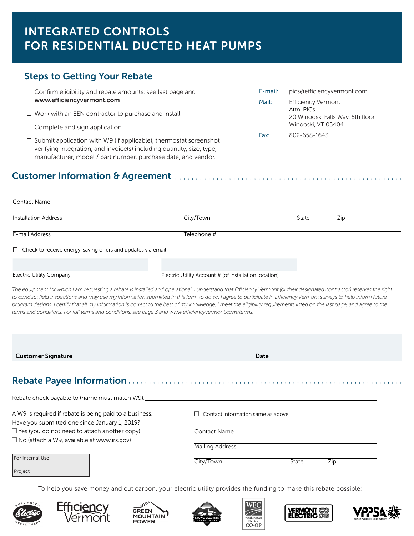# INTEGRATED CONTROLS FOR RESIDENTIAL DUCTED HEAT PUMPS

### Steps to Getting Your Rebate

- $\Box$  Confirm eligibility and rebate amounts: see last page and www.efficiencyvermont.com
- $\Box$  Work with an EEN contractor to purchase and install.
- $\Box$  Complete and sign application.
- $\Box$  Submit application with W9 (if applicable), thermostat screenshot verifying integration, and invoice(s) including quantity, size, type, manufacturer, model / part number, purchase date, and vendor.

### Customer Information & Agreement

| <b>Contact Name</b>                                                                                                                                                                                                                                                                                                                                                                                                                                                                                                                                                                                                                |                                          |                                                       |     |  |
|------------------------------------------------------------------------------------------------------------------------------------------------------------------------------------------------------------------------------------------------------------------------------------------------------------------------------------------------------------------------------------------------------------------------------------------------------------------------------------------------------------------------------------------------------------------------------------------------------------------------------------|------------------------------------------|-------------------------------------------------------|-----|--|
| <b>Installation Address</b>                                                                                                                                                                                                                                                                                                                                                                                                                                                                                                                                                                                                        | City/Town                                | State                                                 | Zip |  |
| E-mail Address                                                                                                                                                                                                                                                                                                                                                                                                                                                                                                                                                                                                                     | Telephone #                              |                                                       |     |  |
| $\Box$ Check to receive energy-saving offers and updates via email                                                                                                                                                                                                                                                                                                                                                                                                                                                                                                                                                                 |                                          |                                                       |     |  |
|                                                                                                                                                                                                                                                                                                                                                                                                                                                                                                                                                                                                                                    |                                          |                                                       |     |  |
| <b>Electric Utility Company</b>                                                                                                                                                                                                                                                                                                                                                                                                                                                                                                                                                                                                    |                                          | Electric Utility Account # (of installation location) |     |  |
| The equipment for which I am requesting a rebate is installed and operational. I understand that Efficiency Vermont (or their designated contractor) reserves the right<br>to conduct field inspections and may use my information submitted in this form to do so. I agree to participate in Efficiency Vermont surveys to help inform future<br>program designs. I certify that all my information is correct to the best of my knowledge, I meet the eligibility requirements listed on the last page, and agree to the<br>terms and conditions. For full terms and conditions, see page 3 and www.efficiencyvermont.com/terms. |                                          |                                                       |     |  |
| <b>Customer Signature</b>                                                                                                                                                                                                                                                                                                                                                                                                                                                                                                                                                                                                          |                                          | <b>Date</b>                                           |     |  |
|                                                                                                                                                                                                                                                                                                                                                                                                                                                                                                                                                                                                                                    |                                          |                                                       |     |  |
| Rebate check payable to (name must match W9):                                                                                                                                                                                                                                                                                                                                                                                                                                                                                                                                                                                      |                                          |                                                       |     |  |
| A W9 is required if rebate is being paid to a business.<br>Have you submitted one since January 1, 2019?                                                                                                                                                                                                                                                                                                                                                                                                                                                                                                                           | $\Box$ Contact information same as above |                                                       |     |  |
| $\Box$ Yes (you do not need to attach another copy)                                                                                                                                                                                                                                                                                                                                                                                                                                                                                                                                                                                | Contact Name                             |                                                       |     |  |
| □ No (attach a W9, available at www.irs.gov)                                                                                                                                                                                                                                                                                                                                                                                                                                                                                                                                                                                       |                                          |                                                       |     |  |
| For Internal Use<br>Project.                                                                                                                                                                                                                                                                                                                                                                                                                                                                                                                                                                                                       | City/Town                                | State<br>Zip                                          |     |  |

To help you save money and cut carbon, your electric utility provides the funding to make this rebate possible:













E-mail: pics@efficiencyvermont.com

Winooski, VT 05404

20 Winooski Falls Way, 5th floor

Mail: Efficiency Vermont Attn: PICs

Fax: 802-658-1643

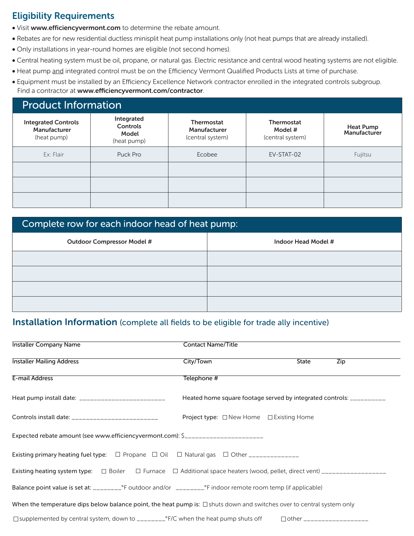### Eligibility Requirements

- Visit www.efficiencyvermont.com to determine the rebate amount.
- Rebates are for new residential ductless minisplit heat pump installations only (not heat pumps that are already installed).
- Only installations in year-round homes are eligible (not second homes).
- Central heating system must be oil, propane, or natural gas. Electric resistance and central wood heating systems are not eligible.
- Heat pump and integrated control must be on the Efficiency Vermont Qualified Products Lists at time of purchase.
- Equipment must be installed by an Efficiency Excellence Network contractor enrolled in the integrated controls subgroup. Find a contractor at www.efficiencyvermont.com/contractor.

### Product Information

| <b>Integrated Controls</b><br>Manufacturer<br>(heat pump) | Integrated<br>Controls<br>Model<br>(heat pump) | <b>Thermostat</b><br>Manufacturer<br>(central system) | <b>Thermostat</b><br>Model #<br>(central system) | <b>Heat Pump</b><br>Manufacturer |
|-----------------------------------------------------------|------------------------------------------------|-------------------------------------------------------|--------------------------------------------------|----------------------------------|
| Ex: Flair                                                 | Puck Pro                                       | Ecobee                                                | EV-STAT-02                                       | Fujitsu                          |
|                                                           |                                                |                                                       |                                                  |                                  |
|                                                           |                                                |                                                       |                                                  |                                  |
|                                                           |                                                |                                                       |                                                  |                                  |

## Complete row for each indoor head of heat pump:

| <b>Outdoor Compressor Model #</b> | Indoor Head Model # |
|-----------------------------------|---------------------|
|                                   |                     |
|                                   |                     |
|                                   |                     |
|                                   |                     |

### Installation Information (complete all fields to be eligible for trade ally incentive)

| Installer Company Name                                                                                                                             | <b>Contact Name/Title</b>                                            |                             |     |  |  |
|----------------------------------------------------------------------------------------------------------------------------------------------------|----------------------------------------------------------------------|-----------------------------|-----|--|--|
| <b>Installer Mailing Address</b>                                                                                                                   | City/Town                                                            | State                       | Zip |  |  |
| E-mail Address                                                                                                                                     | Telephone #                                                          |                             |     |  |  |
| Heat pump install date: __________________________                                                                                                 | Heated home square footage served by integrated controls: __________ |                             |     |  |  |
| Controls install date: ________________________                                                                                                    | <b>Project type:</b> □ New Home □ Existing Home                      |                             |     |  |  |
| Expected rebate amount (see www.efficiencyvermont.com): \$_______________________                                                                  |                                                                      |                             |     |  |  |
| Existing primary heating fuel type: $\square$ Propane $\square$ Oil $\square$ Natural gas $\square$ Other ______________                           |                                                                      |                             |     |  |  |
| Existing heating system type: $\square$ Boiler $\square$ Furnace $\square$ Additional space heaters (wood, pellet, direct vent) __________________ |                                                                      |                             |     |  |  |
|                                                                                                                                                    |                                                                      |                             |     |  |  |
| When the temperature dips below balance point, the heat pump is: $\Box$ shuts down and switches over to central system only                        |                                                                      |                             |     |  |  |
| $\Box$ supplemented by central system, down to $\Box \Box \Box \Box^{\circ} F/C$ when the heat pump shuts off                                      |                                                                      | □ other ___________________ |     |  |  |